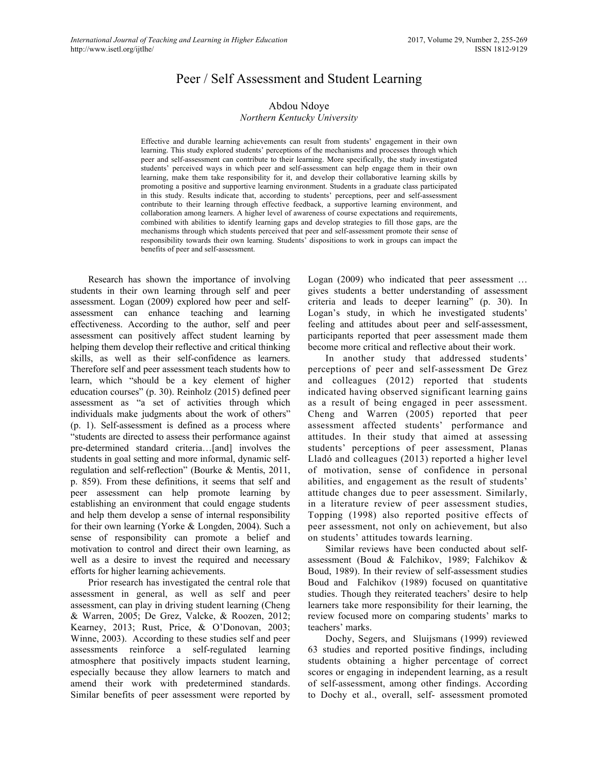# Peer / Self Assessment and Student Learning

# Abdou Ndoye

# *Northern Kentucky University*

Effective and durable learning achievements can result from students' engagement in their own learning. This study explored students' perceptions of the mechanisms and processes through which peer and self-assessment can contribute to their learning. More specifically, the study investigated students' perceived ways in which peer and self-assessment can help engage them in their own learning, make them take responsibility for it, and develop their collaborative learning skills by promoting a positive and supportive learning environment. Students in a graduate class participated in this study. Results indicate that, according to students' perceptions, peer and self-assessment contribute to their learning through effective feedback, a supportive learning environment, and collaboration among learners. A higher level of awareness of course expectations and requirements, combined with abilities to identify learning gaps and develop strategies to fill those gaps, are the mechanisms through which students perceived that peer and self-assessment promote their sense of responsibility towards their own learning. Students' dispositions to work in groups can impact the benefits of peer and self-assessment.

Research has shown the importance of involving students in their own learning through self and peer assessment. Logan (2009) explored how peer and selfassessment can enhance teaching and learning effectiveness. According to the author, self and peer assessment can positively affect student learning by helping them develop their reflective and critical thinking skills, as well as their self-confidence as learners. Therefore self and peer assessment teach students how to learn, which "should be a key element of higher education courses" (p. 30). Reinholz (2015) defined peer assessment as "a set of activities through which individuals make judgments about the work of others" (p. 1). Self-assessment is defined as a process where "students are directed to assess their performance against pre-determined standard criteria…[and] involves the students in goal setting and more informal, dynamic selfregulation and self-reflection" (Bourke & Mentis, 2011, p. 859). From these definitions, it seems that self and peer assessment can help promote learning by establishing an environment that could engage students and help them develop a sense of internal responsibility for their own learning (Yorke & Longden, 2004). Such a sense of responsibility can promote a belief and motivation to control and direct their own learning, as well as a desire to invest the required and necessary efforts for higher learning achievements.

Prior research has investigated the central role that assessment in general, as well as self and peer assessment, can play in driving student learning (Cheng & Warren, 2005; De Grez, Valcke, & Roozen, 2012; Kearney, 2013; Rust, Price, & O'Donovan, 2003; Winne, 2003). According to these studies self and peer assessments reinforce a self-regulated learning atmosphere that positively impacts student learning, especially because they allow learners to match and amend their work with predetermined standards. Similar benefits of peer assessment were reported by Logan (2009) who indicated that peer assessment … gives students a better understanding of assessment criteria and leads to deeper learning" (p. 30). In Logan's study, in which he investigated students' feeling and attitudes about peer and self-assessment, participants reported that peer assessment made them become more critical and reflective about their work.

In another study that addressed students' perceptions of peer and self-assessment De Grez and colleagues (2012) reported that students indicated having observed significant learning gains as a result of being engaged in peer assessment. Cheng and Warren (2005) reported that peer assessment affected students' performance and attitudes. In their study that aimed at assessing students' perceptions of peer assessment, Planas Lladó and colleagues (2013) reported a higher level of motivation, sense of confidence in personal abilities, and engagement as the result of students' attitude changes due to peer assessment. Similarly, in a literature review of peer assessment studies, Topping (1998) also reported positive effects of peer assessment, not only on achievement, but also on students' attitudes towards learning.

Similar reviews have been conducted about selfassessment (Boud & Falchikov, 1989; Falchikov & Boud, 1989). In their review of self-assessment studies Boud and Falchikov (1989) focused on quantitative studies. Though they reiterated teachers' desire to help learners take more responsibility for their learning, the review focused more on comparing students' marks to teachers' marks.

Dochy, Segers, and Sluijsmans (1999) reviewed 63 studies and reported positive findings, including students obtaining a higher percentage of correct scores or engaging in independent learning, as a result of self-assessment, among other findings. According to Dochy et al., overall, self- assessment promoted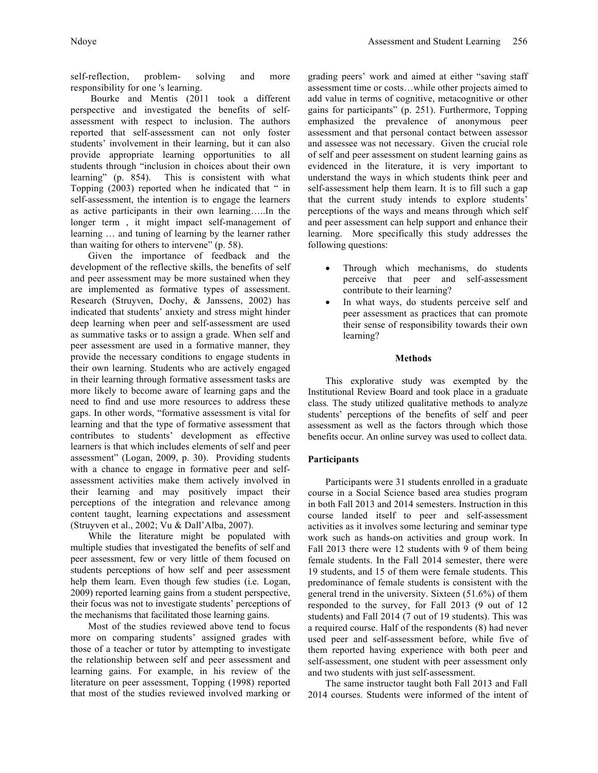self-reflection, problem- solving and more responsibility for one 's learning.

Bourke and Mentis (2011 took a different perspective and investigated the benefits of selfassessment with respect to inclusion. The authors reported that self-assessment can not only foster students' involvement in their learning, but it can also provide appropriate learning opportunities to all students through "inclusion in choices about their own learning" (p. 854). This is consistent with what Topping (2003) reported when he indicated that " in self-assessment, the intention is to engage the learners as active participants in their own learning…..In the longer term , it might impact self-management of learning … and tuning of learning by the learner rather than waiting for others to intervene" (p. 58).

Given the importance of feedback and the development of the reflective skills, the benefits of self and peer assessment may be more sustained when they are implemented as formative types of assessment. Research (Struyven, Dochy, & Janssens, 2002) has indicated that students' anxiety and stress might hinder deep learning when peer and self-assessment are used as summative tasks or to assign a grade. When self and peer assessment are used in a formative manner, they provide the necessary conditions to engage students in their own learning. Students who are actively engaged in their learning through formative assessment tasks are more likely to become aware of learning gaps and the need to find and use more resources to address these gaps. In other words, "formative assessment is vital for learning and that the type of formative assessment that contributes to students' development as effective learners is that which includes elements of self and peer assessment" (Logan, 2009, p. 30). Providing students with a chance to engage in formative peer and selfassessment activities make them actively involved in their learning and may positively impact their perceptions of the integration and relevance among content taught, learning expectations and assessment (Struyven et al., 2002; Vu & Dall'Alba, 2007).

While the literature might be populated with multiple studies that investigated the benefits of self and peer assessment, few or very little of them focused on students perceptions of how self and peer assessment help them learn. Even though few studies (i.e. Logan, 2009) reported learning gains from a student perspective, their focus was not to investigate students' perceptions of the mechanisms that facilitated those learning gains.

Most of the studies reviewed above tend to focus more on comparing students' assigned grades with those of a teacher or tutor by attempting to investigate the relationship between self and peer assessment and learning gains. For example, in his review of the literature on peer assessment, Topping (1998) reported that most of the studies reviewed involved marking or grading peers' work and aimed at either "saving staff assessment time or costs…while other projects aimed to add value in terms of cognitive, metacognitive or other gains for participants" (p. 251). Furthermore, Topping emphasized the prevalence of anonymous peer assessment and that personal contact between assessor and assessee was not necessary. Given the crucial role of self and peer assessment on student learning gains as evidenced in the literature, it is very important to understand the ways in which students think peer and self-assessment help them learn. It is to fill such a gap that the current study intends to explore students' perceptions of the ways and means through which self and peer assessment can help support and enhance their learning. More specifically this study addresses the following questions:

- Through which mechanisms, do students perceive that peer and self-assessment contribute to their learning?
- In what ways, do students perceive self and peer assessment as practices that can promote their sense of responsibility towards their own learning?

### **Methods**

This explorative study was exempted by the Institutional Review Board and took place in a graduate class. The study utilized qualitative methods to analyze students' perceptions of the benefits of self and peer assessment as well as the factors through which those benefits occur. An online survey was used to collect data.

#### **Participants**

Participants were 31 students enrolled in a graduate course in a Social Science based area studies program in both Fall 2013 and 2014 semesters. Instruction in this course landed itself to peer and self-assessment activities as it involves some lecturing and seminar type work such as hands-on activities and group work. In Fall 2013 there were 12 students with 9 of them being female students. In the Fall 2014 semester, there were 19 students, and 15 of them were female students. This predominance of female students is consistent with the general trend in the university. Sixteen (51.6%) of them responded to the survey, for Fall 2013 (9 out of 12 students) and Fall 2014 (7 out of 19 students). This was a required course. Half of the respondents (8) had never used peer and self-assessment before, while five of them reported having experience with both peer and self-assessment, one student with peer assessment only and two students with just self-assessment.

The same instructor taught both Fall 2013 and Fall 2014 courses. Students were informed of the intent of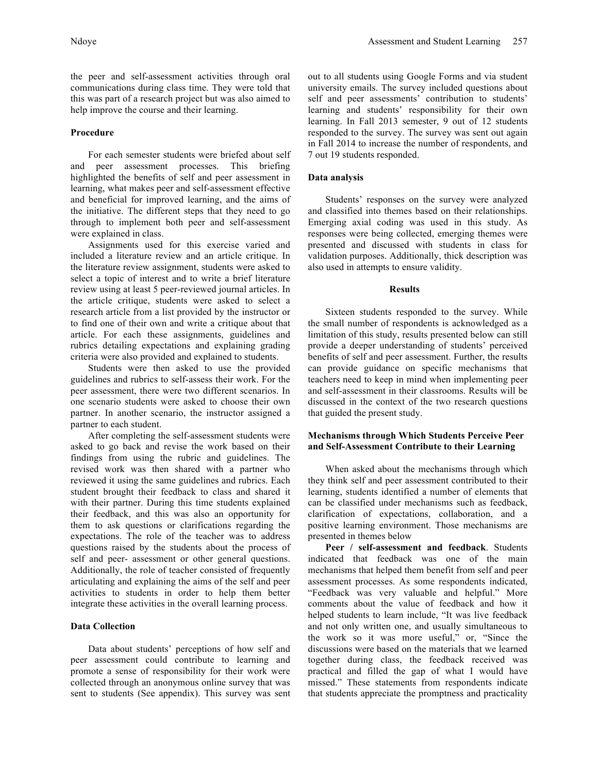the peer and self-assessment activities through oral communications during class time. They were told that this was part of a research project but was also aimed to help improve the course and their learning.

## **Procedure**

For each semester students were briefed about self and peer assessment processes. This briefing highlighted the benefits of self and peer assessment in learning, what makes peer and self-assessment effective and beneficial for improved learning, and the aims of the initiative. The different steps that they need to go through to implement both peer and self-assessment were explained in class.

Assignments used for this exercise varied and included a literature review and an article critique. In the literature review assignment, students were asked to select a topic of interest and to write a brief literature review using at least 5 peer-reviewed journal articles. In the article critique, students were asked to select a research article from a list provided by the instructor or to find one of their own and write a critique about that article. For each these assignments, guidelines and rubrics detailing expectations and explaining grading criteria were also provided and explained to students.

Students were then asked to use the provided guidelines and rubrics to self-assess their work. For the peer assessment, there were two different scenarios. In one scenario students were asked to choose their own partner. In another scenario, the instructor assigned a partner to each student.

After completing the self-assessment students were asked to go back and revise the work based on their findings from using the rubric and guidelines. The revised work was then shared with a partner who reviewed it using the same guidelines and rubrics. Each student brought their feedback to class and shared it with their partner. During this time students explained their feedback, and this was also an opportunity for them to ask questions or clarifications regarding the expectations. The role of the teacher was to address questions raised by the students about the process of self and peer- assessment or other general questions. Additionally, the role of teacher consisted of frequently articulating and explaining the aims of the self and peer activities to students in order to help them better integrate these activities in the overall learning process.

### **Data Collection**

Data about students' perceptions of how self and peer assessment could contribute to learning and promote a sense of responsibility for their work were collected through an anonymous online survey that was sent to students (See appendix). This survey was sent out to all students using Google Forms and via student university emails. The survey included questions about self and peer assessments' contribution to students' learning and students' responsibility for their own learning. In Fall 2013 semester, 9 out of 12 students responded to the survey. The survey was sent out again in Fall 2014 to increase the number of respondents, and 7 out 19 students responded.

## **Data analysis**

Students' responses on the survey were analyzed and classified into themes based on their relationships. Emerging axial coding was used in this study. As responses were being collected, emerging themes were presented and discussed with students in class for validation purposes. Additionally, thick description was also used in attempts to ensure validity.

# **Results**

Sixteen students responded to the survey. While the small number of respondents is acknowledged as a limitation of this study, results presented below can still provide a deeper understanding of students' perceived benefits of self and peer assessment. Further, the results can provide guidance on specific mechanisms that teachers need to keep in mind when implementing peer and self-assessment in their classrooms. Results will be discussed in the context of the two research questions that guided the present study.

# **Mechanisms through Which Students Perceive Peer and Self-Assessment Contribute to their Learning**

When asked about the mechanisms through which they think self and peer assessment contributed to their learning, students identified a number of elements that can be classified under mechanisms such as feedback, clarification of expectations, collaboration, and a positive learning environment. Those mechanisms are presented in themes below

**Peer / self-assessment and feedback**. Students indicated that feedback was one of the main mechanisms that helped them benefit from self and peer assessment processes. As some respondents indicated, "Feedback was very valuable and helpful." More comments about the value of feedback and how it helped students to learn include, "It was live feedback and not only written one, and usually simultaneous to the work so it was more useful," or, "Since the discussions were based on the materials that we learned together during class, the feedback received was practical and filled the gap of what I would have missed." These statements from respondents indicate that students appreciate the promptness and practicality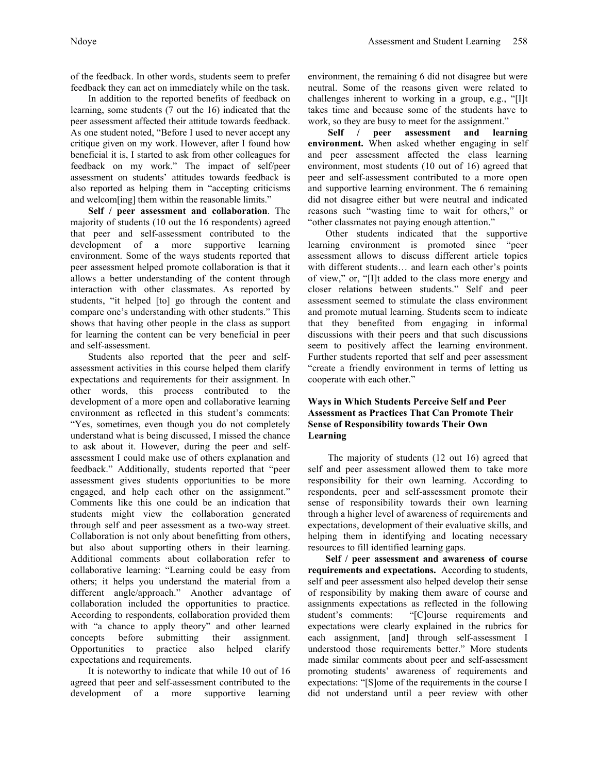of the feedback. In other words, students seem to prefer feedback they can act on immediately while on the task.

In addition to the reported benefits of feedback on learning, some students (7 out the 16) indicated that the peer assessment affected their attitude towards feedback. As one student noted, "Before I used to never accept any critique given on my work. However, after I found how beneficial it is, I started to ask from other colleagues for feedback on my work." The impact of self/peer assessment on students' attitudes towards feedback is also reported as helping them in "accepting criticisms and welcom[ing] them within the reasonable limits."

**Self / peer assessment and collaboration**. The majority of students (10 out the 16 respondents) agreed that peer and self-assessment contributed to the development of a more supportive learning environment. Some of the ways students reported that peer assessment helped promote collaboration is that it allows a better understanding of the content through interaction with other classmates. As reported by students, "it helped [to] go through the content and compare one's understanding with other students." This shows that having other people in the class as support for learning the content can be very beneficial in peer and self-assessment.

Students also reported that the peer and selfassessment activities in this course helped them clarify expectations and requirements for their assignment. In other words, this process contributed to the development of a more open and collaborative learning environment as reflected in this student's comments: "Yes, sometimes, even though you do not completely understand what is being discussed, I missed the chance to ask about it. However, during the peer and selfassessment I could make use of others explanation and feedback." Additionally, students reported that "peer assessment gives students opportunities to be more engaged, and help each other on the assignment." Comments like this one could be an indication that students might view the collaboration generated through self and peer assessment as a two-way street. Collaboration is not only about benefitting from others, but also about supporting others in their learning. Additional comments about collaboration refer to collaborative learning: "Learning could be easy from others; it helps you understand the material from a different angle/approach." Another advantage of collaboration included the opportunities to practice. According to respondents, collaboration provided them with "a chance to apply theory" and other learned concepts before submitting their assignment. Opportunities to practice also helped clarify expectations and requirements.

It is noteworthy to indicate that while 10 out of 16 agreed that peer and self-assessment contributed to the development of a more supportive learning environment, the remaining 6 did not disagree but were neutral. Some of the reasons given were related to challenges inherent to working in a group, e.g., "[I]t takes time and because some of the students have to work, so they are busy to meet for the assignment."

**Self / peer assessment and learning environment.** When asked whether engaging in self and peer assessment affected the class learning environment, most students (10 out of 16) agreed that peer and self-assessment contributed to a more open and supportive learning environment. The 6 remaining did not disagree either but were neutral and indicated reasons such "wasting time to wait for others," or "other classmates not paying enough attention."

Other students indicated that the supportive learning environment is promoted since "peer assessment allows to discuss different article topics with different students… and learn each other's points of view," or, "[I]t added to the class more energy and closer relations between students." Self and peer assessment seemed to stimulate the class environment and promote mutual learning. Students seem to indicate that they benefited from engaging in informal discussions with their peers and that such discussions seem to positively affect the learning environment. Further students reported that self and peer assessment "create a friendly environment in terms of letting us cooperate with each other."

# **Ways in Which Students Perceive Self and Peer Assessment as Practices That Can Promote Their Sense of Responsibility towards Their Own Learning**

The majority of students (12 out 16) agreed that self and peer assessment allowed them to take more responsibility for their own learning. According to respondents, peer and self-assessment promote their sense of responsibility towards their own learning through a higher level of awareness of requirements and expectations, development of their evaluative skills, and helping them in identifying and locating necessary resources to fill identified learning gaps.

**Self / peer assessment and awareness of course requirements and expectations.** According to students, self and peer assessment also helped develop their sense of responsibility by making them aware of course and assignments expectations as reflected in the following student's comments: "[C]ourse requirements and expectations were clearly explained in the rubrics for each assignment, [and] through self-assessment I understood those requirements better." More students made similar comments about peer and self-assessment promoting students' awareness of requirements and expectations: "[S]ome of the requirements in the course I did not understand until a peer review with other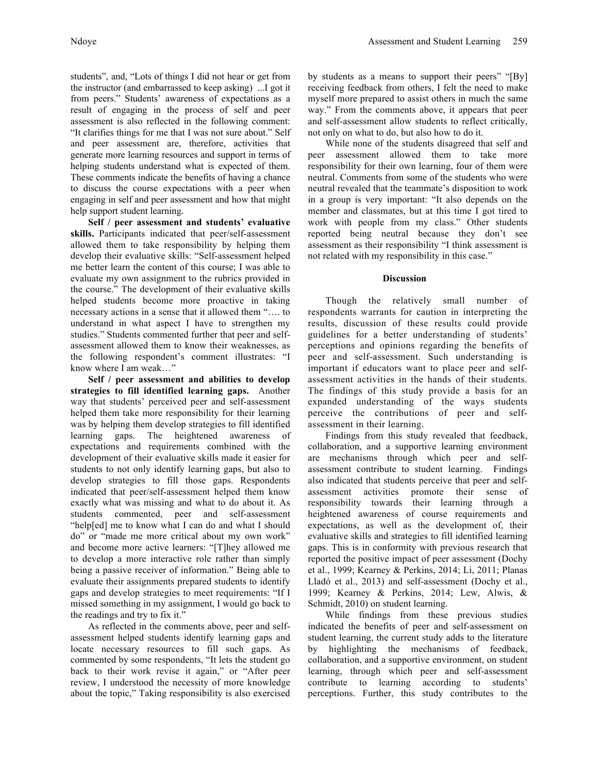students", and, "Lots of things I did not hear or get from the instructor (and embarrassed to keep asking) ...I got it from peers." Students' awareness of expectations as a result of engaging in the process of self and peer assessment is also reflected in the following comment: "It clarifies things for me that I was not sure about." Self and peer assessment are, therefore, activities that generate more learning resources and support in terms of helping students understand what is expected of them. These comments indicate the benefits of having a chance to discuss the course expectations with a peer when engaging in self and peer assessment and how that might help support student learning.

**Self / peer assessment and students' evaluative skills.** Participants indicated that peer/self-assessment allowed them to take responsibility by helping them develop their evaluative skills: "Self-assessment helped me better learn the content of this course; I was able to evaluate my own assignment to the rubrics provided in the course." The development of their evaluative skills helped students become more proactive in taking necessary actions in a sense that it allowed them "…. to understand in what aspect I have to strengthen my studies." Students commented further that peer and selfassessment allowed them to know their weaknesses, as the following respondent's comment illustrates: "I know where I am weak…"

**Self / peer assessment and abilities to develop strategies to fill identified learning gaps.** Another way that students' perceived peer and self-assessment helped them take more responsibility for their learning was by helping them develop strategies to fill identified learning gaps. The heightened awareness of expectations and requirements combined with the development of their evaluative skills made it easier for students to not only identify learning gaps, but also to develop strategies to fill those gaps. Respondents indicated that peer/self-assessment helped them know exactly what was missing and what to do about it. As students commented, peer and self-assessment "help[ed] me to know what I can do and what I should do" or "made me more critical about my own work" and become more active learners: "[T]hey allowed me to develop a more interactive role rather than simply being a passive receiver of information." Being able to evaluate their assignments prepared students to identify gaps and develop strategies to meet requirements: "If I missed something in my assignment, I would go back to the readings and try to fix it."

As reflected in the comments above, peer and selfassessment helped students identify learning gaps and locate necessary resources to fill such gaps. As commented by some respondents, "It lets the student go back to their work revise it again," or "After peer review, I understood the necessity of more knowledge about the topic," Taking responsibility is also exercised

by students as a means to support their peers" "[By] receiving feedback from others, I felt the need to make myself more prepared to assist others in much the same way." From the comments above, it appears that peer and self-assessment allow students to reflect critically, not only on what to do, but also how to do it.

While none of the students disagreed that self and peer assessment allowed them to take more responsibility for their own learning, four of them were neutral. Comments from some of the students who were neutral revealed that the teammate's disposition to work in a group is very important: "It also depends on the member and classmates, but at this time I got tired to work with people from my class." Other students reported being neutral because they don't see assessment as their responsibility "I think assessment is not related with my responsibility in this case."

### **Discussion**

Though the relatively small number of respondents warrants for caution in interpreting the results, discussion of these results could provide guidelines for a better understanding of students' perceptions and opinions regarding the benefits of peer and self-assessment. Such understanding is important if educators want to place peer and selfassessment activities in the hands of their students. The findings of this study provide a basis for an expanded understanding of the ways students perceive the contributions of peer and selfassessment in their learning.

Findings from this study revealed that feedback, collaboration, and a supportive learning environment are mechanisms through which peer and selfassessment contribute to student learning. Findings also indicated that students perceive that peer and selfassessment activities promote their sense of responsibility towards their learning through a heightened awareness of course requirements and expectations, as well as the development of, their evaluative skills and strategies to fill identified learning gaps. This is in conformity with previous research that reported the positive impact of peer assessment (Dochy et al., 1999; Kearney & Perkins, 2014; Li, 2011; Planas Lladó et al., 2013) and self-assessment (Dochy et al., 1999; Kearney & Perkins, 2014; Lew, Alwis, & Schmidt, 2010) on student learning.

While findings from these previous studies indicated the benefits of peer and self-assessment on student learning, the current study adds to the literature by highlighting the mechanisms of feedback, collaboration, and a supportive environment, on student learning, through which peer and self-assessment contribute to learning according to students' perceptions. Further, this study contributes to the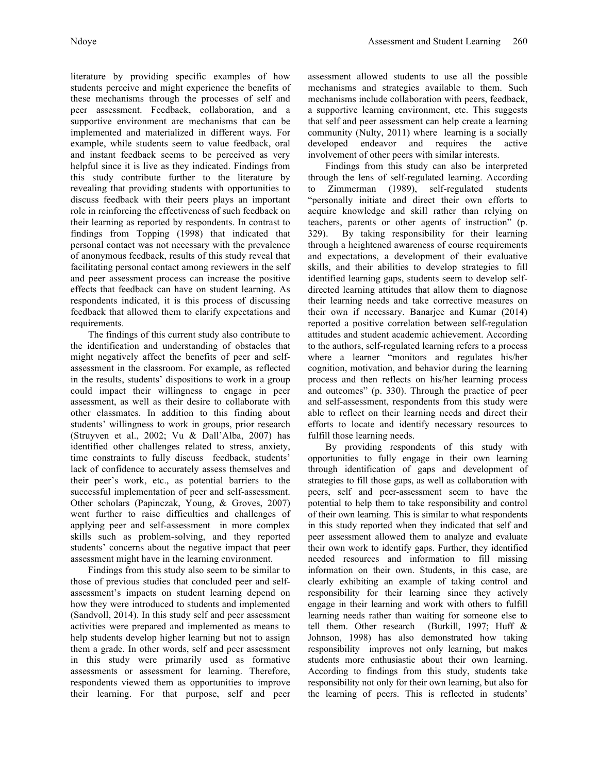literature by providing specific examples of how students perceive and might experience the benefits of these mechanisms through the processes of self and peer assessment. Feedback, collaboration, and a supportive environment are mechanisms that can be implemented and materialized in different ways. For example, while students seem to value feedback, oral and instant feedback seems to be perceived as very helpful since it is live as they indicated. Findings from this study contribute further to the literature by revealing that providing students with opportunities to discuss feedback with their peers plays an important role in reinforcing the effectiveness of such feedback on their learning as reported by respondents. In contrast to findings from Topping (1998) that indicated that personal contact was not necessary with the prevalence of anonymous feedback, results of this study reveal that facilitating personal contact among reviewers in the self and peer assessment process can increase the positive effects that feedback can have on student learning. As respondents indicated, it is this process of discussing feedback that allowed them to clarify expectations and requirements.

The findings of this current study also contribute to the identification and understanding of obstacles that might negatively affect the benefits of peer and selfassessment in the classroom. For example, as reflected in the results, students' dispositions to work in a group could impact their willingness to engage in peer assessment, as well as their desire to collaborate with other classmates. In addition to this finding about students' willingness to work in groups, prior research (Struyven et al., 2002; Vu & Dall'Alba, 2007) has identified other challenges related to stress, anxiety, time constraints to fully discuss feedback, students' lack of confidence to accurately assess themselves and their peer's work, etc., as potential barriers to the successful implementation of peer and self-assessment. Other scholars (Papinczak, Young, & Groves, 2007) went further to raise difficulties and challenges of applying peer and self-assessment in more complex skills such as problem-solving, and they reported students' concerns about the negative impact that peer assessment might have in the learning environment.

Findings from this study also seem to be similar to those of previous studies that concluded peer and selfassessment's impacts on student learning depend on how they were introduced to students and implemented (Sandvoll, 2014). In this study self and peer assessment activities were prepared and implemented as means to help students develop higher learning but not to assign them a grade. In other words, self and peer assessment in this study were primarily used as formative assessments or assessment for learning. Therefore, respondents viewed them as opportunities to improve their learning. For that purpose, self and peer

assessment allowed students to use all the possible mechanisms and strategies available to them. Such mechanisms include collaboration with peers, feedback, a supportive learning environment, etc. This suggests that self and peer assessment can help create a learning community (Nulty, 2011) where learning is a socially developed endeavor and requires the active involvement of other peers with similar interests.

Findings from this study can also be interpreted through the lens of self-regulated learning. According to Zimmerman (1989), self-regulated students "personally initiate and direct their own efforts to acquire knowledge and skill rather than relying on teachers, parents or other agents of instruction" (p. 329). By taking responsibility for their learning through a heightened awareness of course requirements and expectations, a development of their evaluative skills, and their abilities to develop strategies to fill identified learning gaps, students seem to develop selfdirected learning attitudes that allow them to diagnose their learning needs and take corrective measures on their own if necessary. Banarjee and Kumar (2014) reported a positive correlation between self-regulation attitudes and student academic achievement. According to the authors, self-regulated learning refers to a process where a learner "monitors and regulates his/her cognition, motivation, and behavior during the learning process and then reflects on his/her learning process and outcomes" (p. 330). Through the practice of peer and self-assessment, respondents from this study were able to reflect on their learning needs and direct their efforts to locate and identify necessary resources to fulfill those learning needs.

By providing respondents of this study with opportunities to fully engage in their own learning through identification of gaps and development of strategies to fill those gaps, as well as collaboration with peers, self and peer-assessment seem to have the potential to help them to take responsibility and control of their own learning. This is similar to what respondents in this study reported when they indicated that self and peer assessment allowed them to analyze and evaluate their own work to identify gaps. Further, they identified needed resources and information to fill missing information on their own. Students, in this case, are clearly exhibiting an example of taking control and responsibility for their learning since they actively engage in their learning and work with others to fulfill learning needs rather than waiting for someone else to tell them. Other research (Burkill, 1997; Huff & Johnson, 1998) has also demonstrated how taking responsibility improves not only learning, but makes students more enthusiastic about their own learning. According to findings from this study, students take responsibility not only for their own learning, but also for the learning of peers. This is reflected in students'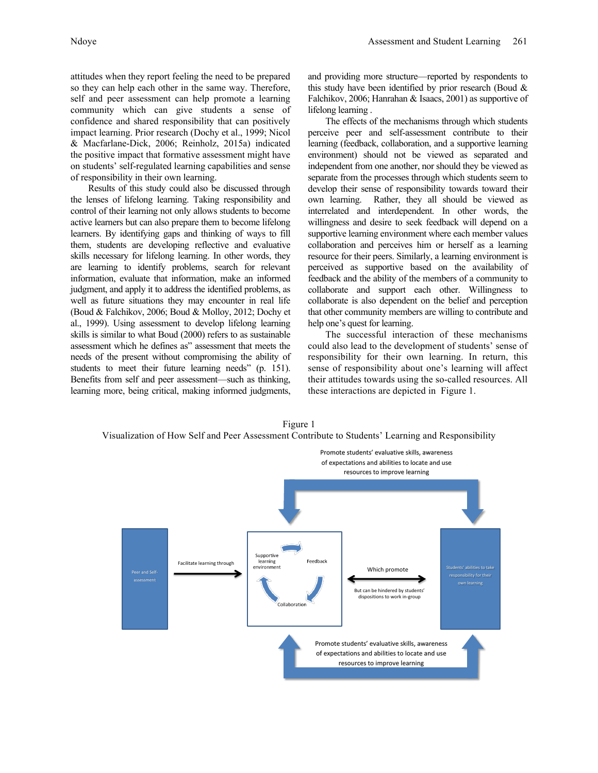attitudes when they report feeling the need to be prepared so they can help each other in the same way. Therefore, self and peer assessment can help promote a learning community which can give students a sense of confidence and shared responsibility that can positively impact learning. Prior research (Dochy et al., 1999; Nicol & Macfarlane-Dick, 2006; Reinholz, 2015a) indicated the positive impact that formative assessment might have on students' self-regulated learning capabilities and sense of responsibility in their own learning.

Results of this study could also be discussed through the lenses of lifelong learning. Taking responsibility and control of their learning not only allows students to become active learners but can also prepare them to become lifelong learners. By identifying gaps and thinking of ways to fill them, students are developing reflective and evaluative skills necessary for lifelong learning. In other words, they are learning to identify problems, search for relevant information, evaluate that information, make an informed judgment, and apply it to address the identified problems, as well as future situations they may encounter in real life (Boud & Falchikov, 2006; Boud & Molloy, 2012; Dochy et al., 1999). Using assessment to develop lifelong learning skills is similar to what Boud (2000) refers to as sustainable assessment which he defines as" assessment that meets the needs of the present without compromising the ability of students to meet their future learning needs" (p. 151). Benefits from self and peer assessment—such as thinking, learning more, being critical, making informed judgments,

and providing more structure—reported by respondents to this study have been identified by prior research (Boud  $\&$ Falchikov, 2006; Hanrahan & Isaacs, 2001) as supportive of lifelong learning .

The effects of the mechanisms through which students perceive peer and self-assessment contribute to their learning (feedback, collaboration, and a supportive learning environment) should not be viewed as separated and independent from one another, nor should they be viewed as separate from the processes through which students seem to develop their sense of responsibility towards toward their own learning. Rather, they all should be viewed as interrelated and interdependent. In other words, the willingness and desire to seek feedback will depend on a supportive learning environment where each member values collaboration and perceives him or herself as a learning resource for their peers. Similarly, a learning environment is perceived as supportive based on the availability of feedback and the ability of the members of a community to collaborate and support each other. Willingness to collaborate is also dependent on the belief and perception that other community members are willing to contribute and help one's quest for learning.

The successful interaction of these mechanisms could also lead to the development of students' sense of responsibility for their own learning. In return, this sense of responsibility about one's learning will affect their attitudes towards using the so-called resources. All these interactions are depicted in Figure 1.



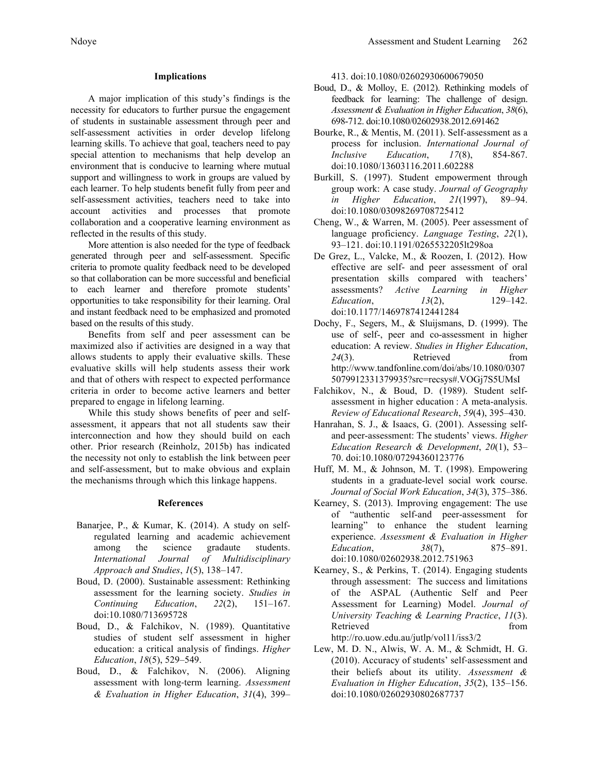#### **Implications**

A major implication of this study's findings is the necessity for educators to further pursue the engagement of students in sustainable assessment through peer and self-assessment activities in order develop lifelong learning skills. To achieve that goal, teachers need to pay special attention to mechanisms that help develop an environment that is conducive to learning where mutual support and willingness to work in groups are valued by each learner. To help students benefit fully from peer and self-assessment activities, teachers need to take into account activities and processes that promote collaboration and a cooperative learning environment as reflected in the results of this study.

More attention is also needed for the type of feedback generated through peer and self-assessment. Specific criteria to promote quality feedback need to be developed so that collaboration can be more successful and beneficial to each learner and therefore promote students' opportunities to take responsibility for their learning. Oral and instant feedback need to be emphasized and promoted based on the results of this study.

Benefits from self and peer assessment can be maximized also if activities are designed in a way that allows students to apply their evaluative skills. These evaluative skills will help students assess their work and that of others with respect to expected performance criteria in order to become active learners and better prepared to engage in lifelong learning.

While this study shows benefits of peer and selfassessment, it appears that not all students saw their interconnection and how they should build on each other. Prior research (Reinholz, 2015b) has indicated the necessity not only to establish the link between peer and self-assessment, but to make obvious and explain the mechanisms through which this linkage happens.

### **References**

- Banarjee, P., & Kumar, K. (2014). A study on selfregulated learning and academic achievement among the science gradaute students. *International Journal of Multidisciplinary Approach and Studies*, *1*(5), 138–147.
- Boud, D. (2000). Sustainable assessment: Rethinking assessment for the learning society. *Studies in Continuing Education*, *22*(2), 151–167. doi:10.1080/713695728
- Boud, D., & Falchikov, N. (1989). Quantitative studies of student self assessment in higher education: a critical analysis of findings. *Higher Education*, *18*(5), 529–549.
- Boud, D., & Falchikov, N. (2006). Aligning assessment with long-term learning. *Assessment & Evaluation in Higher Education*, *31*(4), 399–

413. doi:10.1080/02602930600679050

- Boud, D., & Molloy, E. (2012). Rethinking models of feedback for learning: The challenge of design. *Assessment & Evaluation in Higher Education*, *38*(6), 698-712. doi:10.1080/02602938.2012.691462
- Bourke, R., & Mentis, M. (2011). Self-assessment as a process for inclusion. *International Journal of Inclusive Education*, *17*(8), 854-867. doi:10.1080/13603116.2011.602288
- Burkill, S. (1997). Student empowerment through group work: A case study. *Journal of Geography in Higher Education*, *21*(1997), 89–94. doi:10.1080/03098269708725412
- Cheng, W., & Warren, M. (2005). Peer assessment of language proficiency. *Language Testing*, *22*(1), 93–121. doi:10.1191/0265532205lt298oa
- De Grez, L., Valcke, M., & Roozen, I. (2012). How effective are self- and peer assessment of oral presentation skills compared with teachers' assessments? *Active Learning in Higher Education*, *13(2)*, 129–142. doi:10.1177/1469787412441284
- Dochy, F., Segers, M., & Sluijsmans, D. (1999). The use of self-, peer and co-assessment in higher education: A review. *Studies in Higher Education*, 24(3). Retrieved from http://www.tandfonline.com/doi/abs/10.1080/0307 5079912331379935?src=recsys#.VOGj7S5UMsI
- Falchikov, N., & Boud, D. (1989). Student selfassessment in higher education : A meta-analysis. *Review of Educational Research*, *59*(4), 395–430.
- Hanrahan, S. J., & Isaacs, G. (2001). Assessing selfand peer-assessment: The students' views. *Higher Education Research & Development*, *20*(1), 53– 70. doi:10.1080/07294360123776
- Huff, M. M., & Johnson, M. T. (1998). Empowering students in a graduate-level social work course. *Journal of Social Work Education*, *34*(3), 375–386.
- Kearney, S. (2013). Improving engagement: The use of "authentic self-and peer-assessment for learning" to enhance the student learning experience. *Assessment & Evaluation in Higher Education*, *38*(7), 875–891. doi:10.1080/02602938.2012.751963
- Kearney, S., & Perkins, T. (2014). Engaging students through assessment: The success and limitations of the ASPAL (Authentic Self and Peer Assessment for Learning) Model. *Journal of University Teaching & Learning Practice*, *11*(3). Retrieved from the state of the state of the state of the state of the state of the state of the state of the state of the state of the state of the state of the state of the state of the state of the state of the state of

http://ro.uow.edu.au/jutlp/vol11/iss3/2

Lew, M. D. N., Alwis, W. A. M., & Schmidt, H. G. (2010). Accuracy of students' self-assessment and their beliefs about its utility. *Assessment & Evaluation in Higher Education*, *35*(2), 135–156. doi:10.1080/02602930802687737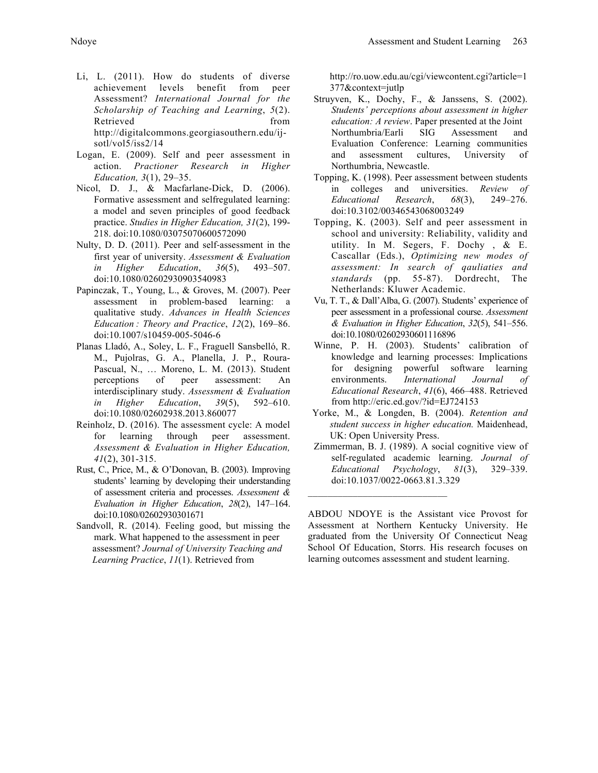- Li, L. (2011). How do students of diverse achievement levels benefit from peer Assessment? *International Journal for the Scholarship of Teaching and Learning*, *5*(2). Retrieved from from http://digitalcommons.georgiasouthern.edu/ijsotl/vol5/iss2/14
- Logan, E. (2009). Self and peer assessment in action. *Practioner Research in Higher Education, 3*(1), 29–35.
- Nicol, D. J., & Macfarlane-Dick, D. (2006). Formative assessment and selfregulated learning: a model and seven principles of good feedback practice. *Studies in Higher Education, 31*(2), 199- 218. doi:10.1080/03075070600572090
- Nulty, D. D. (2011). Peer and self-assessment in the first year of university. *Assessment & Evaluation in Higher Education*, *36*(5), 493–507. doi:10.1080/02602930903540983
- Papinczak, T., Young, L., & Groves, M. (2007). Peer assessment in problem-based learning: a qualitative study. *Advances in Health Sciences Education : Theory and Practice*, *12*(2), 169–86. doi:10.1007/s10459-005-5046-6
- Planas Lladó, A., Soley, L. F., Fraguell Sansbelló, R. M., Pujolras, G. A., Planella, J. P., Roura-Pascual, N., … Moreno, L. M. (2013). Student perceptions of peer assessment: An interdisciplinary study. *Assessment & Evaluation in Higher Education*, *39*(5), 592–610. doi:10.1080/02602938.2013.860077
- Reinholz, D. (2016). The assessment cycle: A model for learning through peer assessment. *Assessment & Evaluation in Higher Education, 41*(2), 301-315.
- Rust, C., Price, M., & O'Donovan, B. (2003). Improving students' learning by developing their understanding of assessment criteria and processes. *Assessment & Evaluation in Higher Education*, *28*(2), 147–164. doi:10.1080/02602930301671
- Sandvoll, R. (2014). Feeling good, but missing the mark. What happened to the assessment in peer assessment? *Journal of University Teaching and Learning Practice*, *11*(1). Retrieved from

http://ro.uow.edu.au/cgi/viewcontent.cgi?article=1 377&context=jutlp

- Struyven, K., Dochy, F., & Janssens, S. (2002). *Students' perceptions about assessment in higher education: A review*. Paper presented at the Joint Northumbria/Earli SIG Assessment and Evaluation Conference: Learning communities and assessment cultures, University of Northumbria, Newcastle.
- Topping, K. (1998). Peer assessment between students in colleges and universities. *Review of Educational Research*, *68*(3), 249–276. doi:10.3102/00346543068003249
- Topping, K. (2003). Self and peer assessment in school and university: Reliability, validity and utility. In M. Segers, F. Dochy , & E. Cascallar (Eds.), *Optimizing new modes of assessment: In search of qauliaties and standards* (pp. 55-87). Dordrecht, The Netherlands: Kluwer Academic.
- Vu, T. T., & Dall'Alba, G. (2007). Students' experience of peer assessment in a professional course. *Assessment & Evaluation in Higher Education*, *32*(5), 541–556. doi:10.1080/02602930601116896
- Winne, P. H. (2003). Students' calibration of knowledge and learning processes: Implications for designing powerful software learning environments. *International Journal of Educational Research*, *41*(6), 466–488. Retrieved from http://eric.ed.gov/?id=EJ724153
- Yorke, M., & Longden, B. (2004). *Retention and student success in higher education.* Maidenhead, UK: Open University Press.
- Zimmerman, B. J. (1989). A social cognitive view of self-regulated academic learning. *Journal of Educational Psychology*, *81*(3), 329–339. doi:10.1037/0022-0663.81.3.329

 $\mathcal{L}_\text{max}$  , where  $\mathcal{L}_\text{max}$  and  $\mathcal{L}_\text{max}$ 

ABDOU NDOYE is the Assistant vice Provost for Assessment at Northern Kentucky University. He graduated from the University Of Connecticut Neag School Of Education, Storrs. His research focuses on learning outcomes assessment and student learning.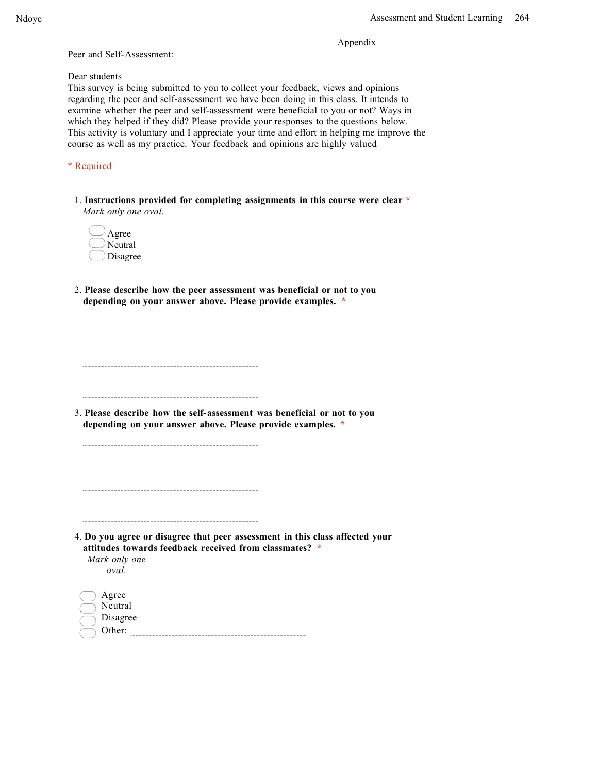Appendix

Peer and Self-Assessment:

Dear students

This survey is being submitted to you to collect your feedback, views and opinions regarding the peer and self-assessment we have been doing in this class. It intends to examine whether the peer and self-assessment were beneficial to you or not? Ways in which they helped if they did? Please provide your responses to the questions below. This activity is voluntary and I appreciate your time and effort in helping me improve the course as well as my practice. Your feedback and opinions are highly valued

\* Required

1. **Instructions provided for completing assignments in this course were clear \*** *Mark only one oval.*

| Agree    |
|----------|
| Neutral  |
| Disagree |

2. **Please describe how the peer assessment was beneficial or not to you depending on your answer above. Please provide examples. \***

3. **Please describe how the self-assessment was beneficial or not to you depending on your answer above. Please provide examples. \***

4. **Do you agree or disagree that peer assessment in this class affected your attitudes towards feedback received from classmates? \*** *Mark only one*

*oval.*

| Agree    |
|----------|
| Neutral  |
| Disagree |
| Other:   |
|          |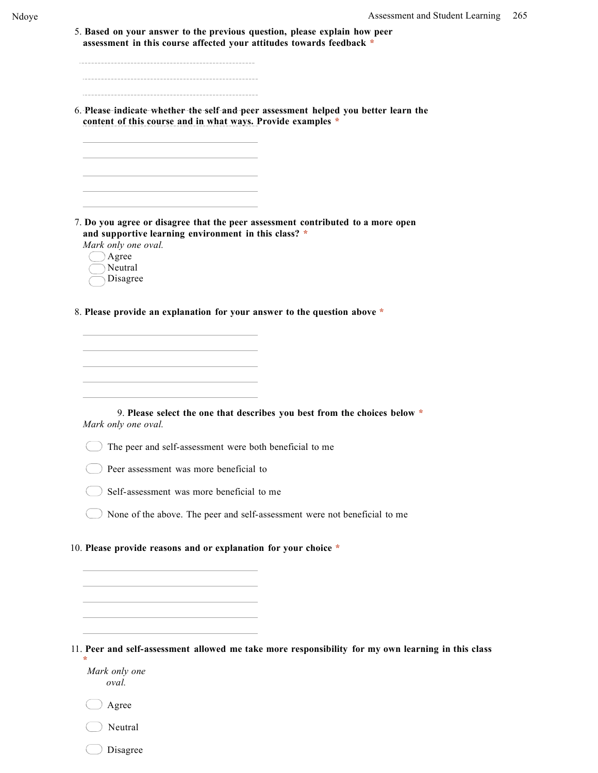5. **Based on your answer to the previous question, please explain how peer assessment in this course affected your attitudes towards feedback \***

6. **Please indicate whether the self and peer assessment helped you better learn the content of this course and in what ways. Provide examples \***

7. **Do you agree or disagree that the peer assessment contributed to a more open and supportive learning environment in this class? \***

*Mark only one oval.*  $\Lambda$ gree

| Agiee   |
|---------|
| Neutral |

Disagree

8. **Please provide an explanation for your answer to the question above \***

9. **Please select the one that describes you best from the choices below \*** *Mark only one oval.*

 $\bigcirc$  The peer and self-assessment were both beneficial to me

Peer assessment was more beneficial to

Self-assessment was more beneficial to me

None of the above. The peer and self-assessment were not beneficial to me

10. **Please provide reasons and or explanation for your choice \***

11. **Peer and self-assessment allowed me take more responsibility for my own learning in this class \***

*Mark only one oval.*

 $\bigcirc$  Agree

Neutral

Disagree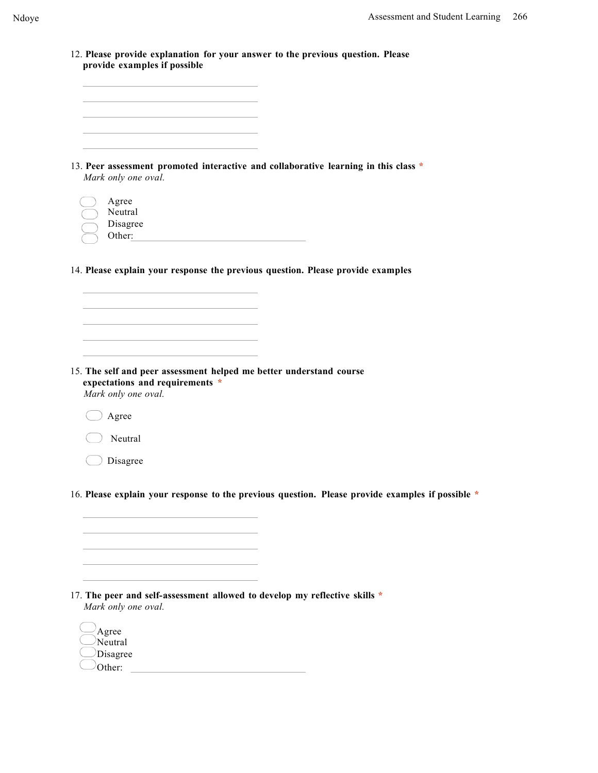| provide examples if possible                                                                      | 12. Please provide explanation for your answer to the previous question. Please                  |
|---------------------------------------------------------------------------------------------------|--------------------------------------------------------------------------------------------------|
|                                                                                                   |                                                                                                  |
|                                                                                                   |                                                                                                  |
|                                                                                                   |                                                                                                  |
|                                                                                                   |                                                                                                  |
|                                                                                                   |                                                                                                  |
|                                                                                                   |                                                                                                  |
| Mark only one oval.                                                                               | 13. Peer assessment promoted interactive and collaborative learning in this class *              |
|                                                                                                   |                                                                                                  |
| Agree                                                                                             |                                                                                                  |
| Neutral                                                                                           |                                                                                                  |
| Disagree                                                                                          |                                                                                                  |
| Other:                                                                                            |                                                                                                  |
|                                                                                                   |                                                                                                  |
|                                                                                                   | 14. Please explain your response the previous question. Please provide examples                  |
|                                                                                                   |                                                                                                  |
|                                                                                                   |                                                                                                  |
|                                                                                                   |                                                                                                  |
|                                                                                                   |                                                                                                  |
|                                                                                                   |                                                                                                  |
|                                                                                                   |                                                                                                  |
|                                                                                                   |                                                                                                  |
| 15. The self and peer assessment helped me better understand course                               |                                                                                                  |
| expectations and requirements *<br>Mark only one oval.                                            |                                                                                                  |
| Agree                                                                                             |                                                                                                  |
| Neutral                                                                                           |                                                                                                  |
| Disagree                                                                                          |                                                                                                  |
|                                                                                                   |                                                                                                  |
|                                                                                                   | 16. Please explain your response to the previous question. Please provide examples if possible * |
|                                                                                                   |                                                                                                  |
|                                                                                                   |                                                                                                  |
|                                                                                                   |                                                                                                  |
|                                                                                                   |                                                                                                  |
|                                                                                                   |                                                                                                  |
|                                                                                                   |                                                                                                  |
|                                                                                                   |                                                                                                  |
| 17. The peer and self-assessment allowed to develop my reflective skills *<br>Mark only one oval. |                                                                                                  |
|                                                                                                   |                                                                                                  |
| Agree                                                                                             |                                                                                                  |
| Neutral                                                                                           |                                                                                                  |

Disagree Other: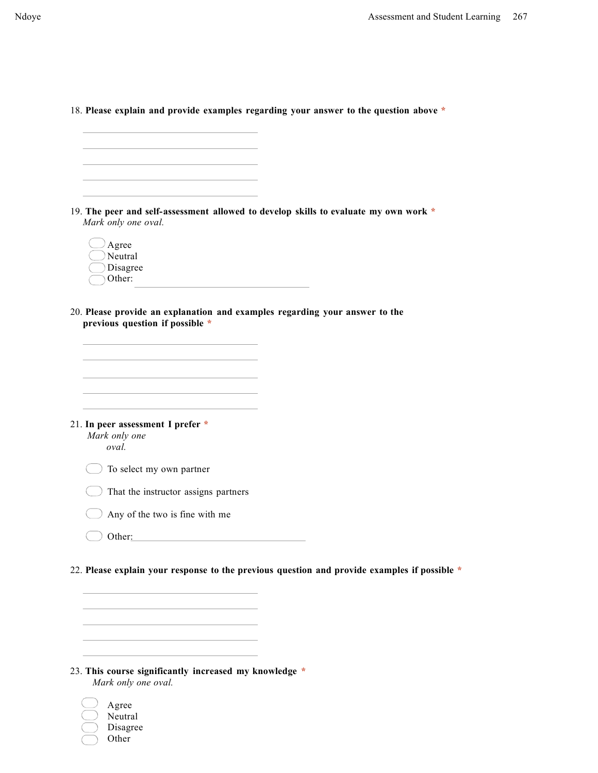| Mark only one oval.                                                                                            | 19. The peer and self-assessment allowed to develop skills to evaluate my own work *         |
|----------------------------------------------------------------------------------------------------------------|----------------------------------------------------------------------------------------------|
|                                                                                                                |                                                                                              |
| Agree<br>Neutral                                                                                               |                                                                                              |
| Disagree                                                                                                       |                                                                                              |
| Other:                                                                                                         |                                                                                              |
|                                                                                                                |                                                                                              |
| 20. Please provide an explanation and examples regarding your answer to the<br>previous question if possible * |                                                                                              |
|                                                                                                                |                                                                                              |
|                                                                                                                |                                                                                              |
|                                                                                                                |                                                                                              |
|                                                                                                                |                                                                                              |
|                                                                                                                |                                                                                              |
|                                                                                                                |                                                                                              |
|                                                                                                                |                                                                                              |
| 21. In peer assessment I prefer *<br>Mark only one                                                             |                                                                                              |
| oval.                                                                                                          |                                                                                              |
| To select my own partner                                                                                       |                                                                                              |
|                                                                                                                |                                                                                              |
| That the instructor assigns partners                                                                           |                                                                                              |
| Any of the two is fine with me                                                                                 |                                                                                              |
| Other:                                                                                                         |                                                                                              |
|                                                                                                                |                                                                                              |
|                                                                                                                | 22. Please explain your response to the previous question and provide examples if possible * |
|                                                                                                                |                                                                                              |
|                                                                                                                |                                                                                              |

# 23. **This course significantly increased my knowledge \*** *Mark only one oval.*

| Agree    |
|----------|
| Neutral  |
| Disagree |
| Other    |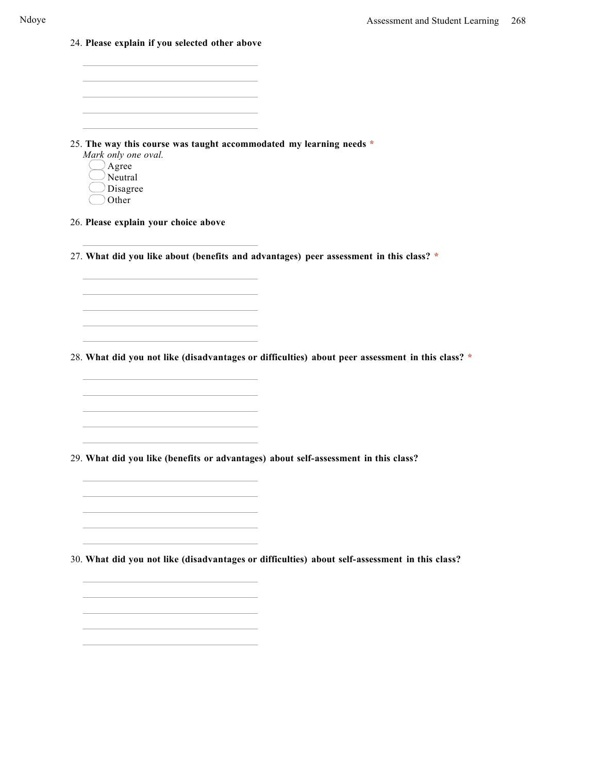24. **Please explain if you selected other above**

25. **The way this course was taught accommodated my learning needs \***

- *Mark only one oval.* Agree  $\cup$ Neutral
	- Disagree
	- Other

26. **Please explain your choice above**

27. **What did you like about (benefits and advantages) peer assessment in this class? \***

28. **What did you not like (disadvantages or difficulties) about peer assessment in this class? \***

29. **What did you like (benefits or advantages) about self-assessment in this class?**

30. **What did you not like (disadvantages or difficulties) about self-assessment in this class?**